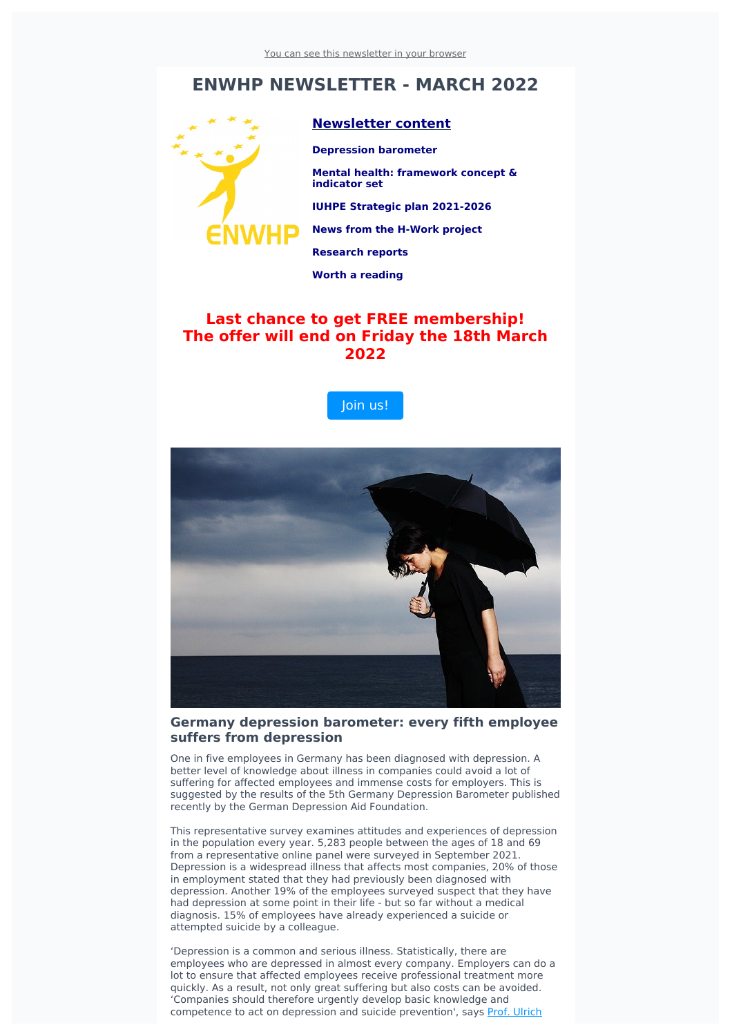## **ENWHP NEWSLETTER - MARCH 2022**



#### **Newsletter content**

**Depression barometer**

**Mental health: framework concept & indicator set**

**IUHPE Strategic plan 2021-2026**

**News from the H-Work project**

**Research reports**

**Worth a reading**

### **Last chance to get FREE membership! The offer will end on Friday the 18th March 2022**





#### **Germany depression barometer: every fifth employee suffers from depression**

One in five employees in Germany has been diagnosed with depression. A better level of knowledge about illness in companies could avoid a lot of suffering for affected employees and immense costs for employers. This is suggested by the results of the 5th Germany Depression Barometer published recently by the German Depression Aid Foundation.

This representative survey examines attitudes and experiences of depression in the population every year. 5,283 people between the ages of 18 and 69 from a representative online panel were surveyed in September 2021. Depression is a widespread illness that affects most companies, 20% of those in employment stated that they had previously been diagnosed with depression. Another 19% of the employees surveyed suspect that they have had depression at some point in their life - but so far without a medical diagnosis. 15% of employees have already experienced a suicide or attempted suicide by a colleague.

'Depression is a common and serious illness. Statistically, there are employees who are depressed in almost every company. Employers can do a lot to ensure that affected employees receive professional treatment more quickly. As a result, not only great suffering but also costs can be avoided. 'Companies should therefore urgently develop basic knowledge and [competence](https://www.deutsche-depressionshilfe.de/ueber-uns/die-stiftung/vorsitzender-ulrich-hegerl?utm_source=sendinblue&utm_campaign=Newsletter%20March%202022&utm_medium=email) to act on depression and suicide prevention', says Prof. Ulrich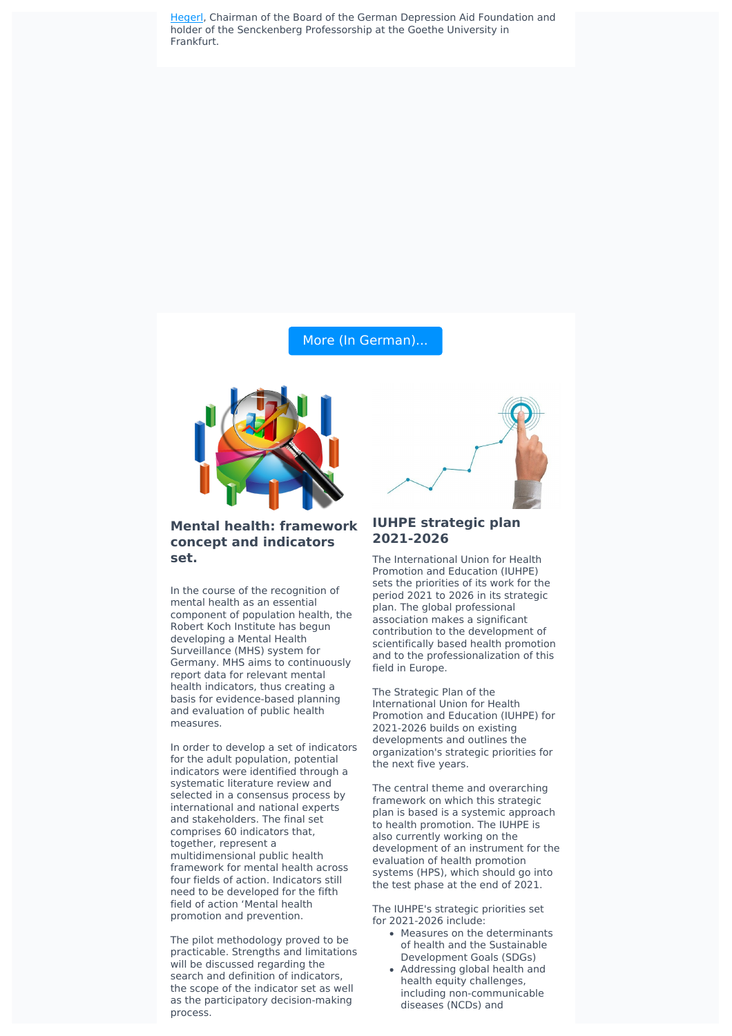Hegerl, Chairman of the Board of the German Depression Aid [Foundation](https://www.deutsche-depressionshilfe.de/ueber-uns/die-stiftung/vorsitzender-ulrich-hegerl?utm_source=sendinblue&utm_campaign=Newsletter%20March%202022&utm_medium=email) and holder of the Senckenberg Professorship at the Goethe University in Frankfurt.

#### More (In [German\)...](https://www.deutsche-depressionshilfe.de/pressematerial-barometer-depression?utm_source=sendinblue&utm_campaign=Newsletter%20March%202022&utm_medium=email)



#### **Mental health: framework concept and indicators set.**

In the course of the recognition of mental health as an essential component of population health, the Robert Koch Institute has begun developing a Mental Health Surveillance (MHS) system for Germany. MHS aims to continuously report data for relevant mental health indicators, thus creating a basis for evidence-based planning and evaluation of public health measures.

In order to develop a set of indicators for the adult population, potential indicators were identified through a systematic literature review and selected in a consensus process by international and national experts and stakeholders. The final set comprises 60 indicators that, together, represent a multidimensional public health framework for mental health across four fields of action. Indicators still need to be developed for the fifth field of action 'Mental health promotion and prevention.

The pilot methodology proved to be practicable. Strengths and limitations will be discussed regarding the search and definition of indicators, the scope of the indicator set as well as the participatory decision-making process.



#### **IUHPE strategic plan 2021-2026**

The International Union for Health Promotion and Education (IUHPE) sets the priorities of its work for the period 2021 to 2026 in its strategic plan. The global professional association makes a significant contribution to the development of scientifically based health promotion and to the professionalization of this field in Europe.

The Strategic Plan of the International Union for Health Promotion and Education (IUHPE) for 2021-2026 builds on existing developments and outlines the organization's strategic priorities for the next five years.

The central theme and overarching framework on which this strategic plan is based is a systemic approach to health promotion. The IUHPE is also currently working on the development of an instrument for the evaluation of health promotion systems (HPS), which should go into the test phase at the end of 2021.

The IUHPE's strategic priorities set for 2021-2026 include:

- Measures on the determinants of health and the Sustainable Development Goals (SDGs)
- Addressing global health and health equity challenges, including non-communicable diseases (NCDs) and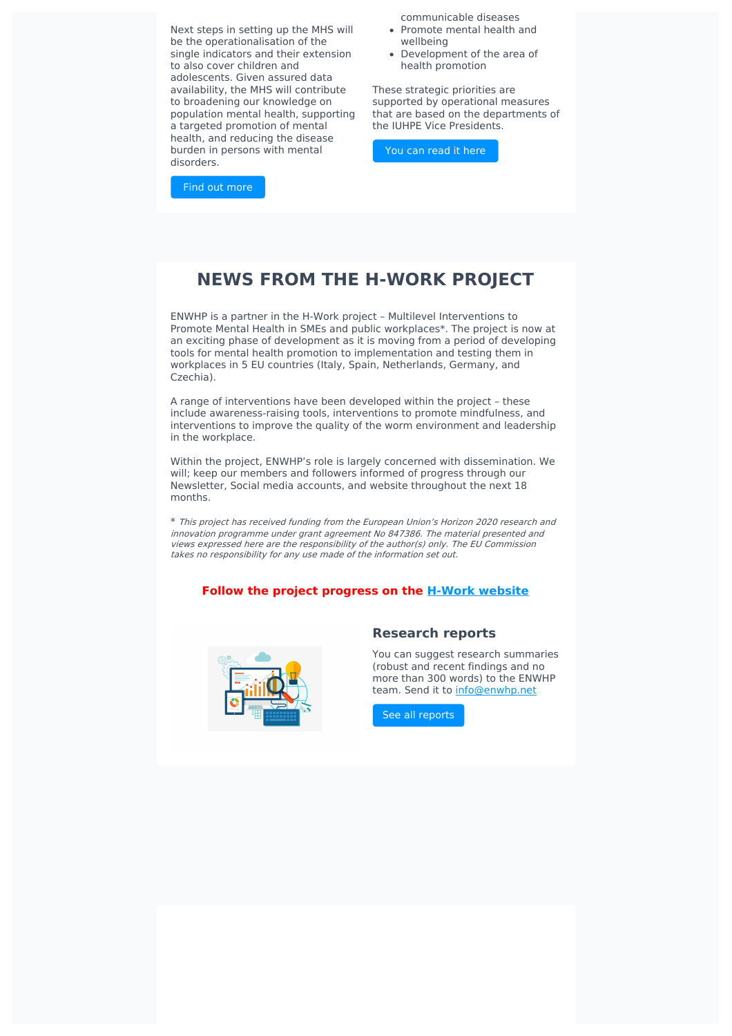Next steps in setting up the MHS will be the operationalisation of the single indicators and their extension to also cover children and adolescents. Given assured data availability, the MHS will contribute to broadening our knowledge on population mental health, supporting a targeted promotion of mental health, and reducing the disease burden in persons with mental disorders.

Find out [more](https://www.ncbi.nlm.nih.gov/pmc/articles/PMC8734140/?utm_source=sendinblue&utm_campaign=Newsletter%20March%202022&utm_medium=email)

communicable diseases

- Promote mental health and wellbeing
- Development of the area of health promotion

These strategic priorities are supported by operational measures that are based on the departments of the IUHPE Vice Presidents.

You can [read](https://drive.google.com/file/d/1pX-ls6PPlHU5WUv5z35-TSmkHdHqRVPx/view?utm_source=sendinblue&utm_campaign=Newsletter%20March%202022&utm_medium=email) it here

## **NEWS FROM THE H-WORK PROJECT**

ENWHP is a partner in the H-Work project – Multilevel Interventions to Promote Mental Health in SMEs and public workplaces\*. The project is now at an exciting phase of development as it is moving from a period of developing tools for mental health promotion to implementation and testing them in workplaces in 5 EU countries (Italy, Spain, Netherlands, Germany, and Czechia).

A range of interventions have been developed within the project – these include awareness-raising tools, interventions to promote mindfulness, and interventions to improve the quality of the worm environment and leadership in the workplace.

Within the project, ENWHP's role is largely concerned with dissemination. We will; keep our members and followers informed of progress through our Newsletter, Social media accounts, and website throughout the next 18 months.

\* This project has received funding from the European Union's Horizon <sup>2020</sup> research and innovation programme under grant agreement No 847386. The material presented and views expressed here are the responsibility of the author(s) only. The EU Commission takes no responsibility for any use made of the information set out.

#### **Follow the project progress on the H-Work [website](https://h-work.eu/news/?utm_source=sendinblue&utm_campaign=Newsletter%20March%202022&utm_medium=email)**



#### **Research reports**

You can suggest research summaries (robust and recent findings and no more than 300 words) to the ENWHP team. Send it to [info@enwhp.net](mailto:info@enwhp.net?subject=Research%20report%20proposal)

See all [reports](https://www.enwhp.org/?i=portal.en.research-reports&utm_source=sendinblue&utm_campaign=Newsletter%20March%202022&utm_medium=email)